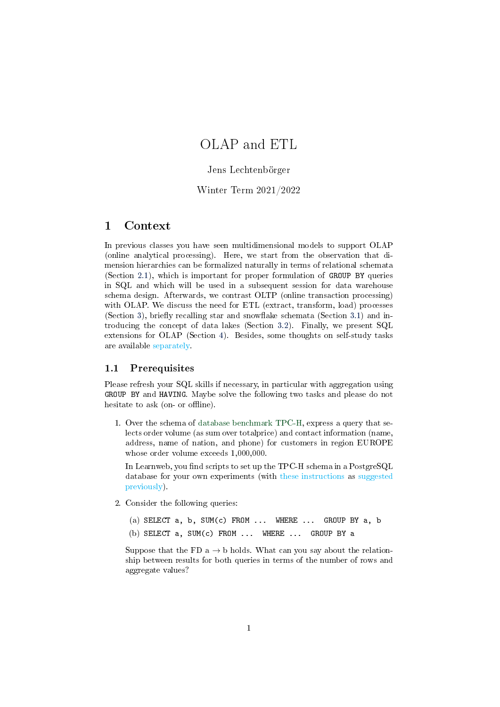# <span id="page-0-0"></span>OLAP and ETL

### Jens Lechtenbörger

### Winter Term 2021/2022

## 1 Context

In previous classes you have seen multidimensional models to support OLAP (online analytical processing). Here, we start from the observation that dimension hierarchies can be formalized naturally in terms of relational schemata (Section [2.1\)](#page-1-0), which is important for proper formulation of GROUP BY queries in SQL and which will be used in a subsequent session for data warehouse schema design. Afterwards, we contrast OLTP (online transaction processing) with OLAP. We discuss the need for ETL (extract, transform, load) processes (Section [3\)](#page-2-0), briefly recalling star and snowflake schemata (Section [3.1\)](#page-3-0) and introducing the concept of data lakes (Section [3.2\)](#page-3-1). Finally, we present SQL extensions for OLAP (Section [4\)](#page-4-0). Besides, some thoughts on self-study tasks are available separately.

#### 1.1 Prerequisites

Please refresh your SQL skills if necessary, in particular with aggregation using GROUP BY and HAVING. Maybe solve the following two tasks and please do not hesitate to ask (on- or offline).

1. Over the schema of [database benchmark TPC-H,](http://www.tpc.org/tpc_documents_current_versions/current_specifications5.asp) express a query that selects order volume (as sum over totalprice) and contact information (name, address, name of nation, and phone) for customers in region EUROPE whose order volume exceeds 1,000,000.

In Learnweb, you find scripts to set up the TPC-H schema in a PostgreSQL database for your own experiments (with these instructions as suggested previously).

2. Consider the following queries:

(a) SELECT  $a, b, SUM(c)$  FROM ... WHERE ... GROUP BY  $a, b$ (b) SELECT a, SUM(c) FROM ... WHERE ... GROUP BY a

Suppose that the FD a  $\rightarrow$  b holds. What can you say about the relationship between results for both queries in terms of the number of rows and aggregate values?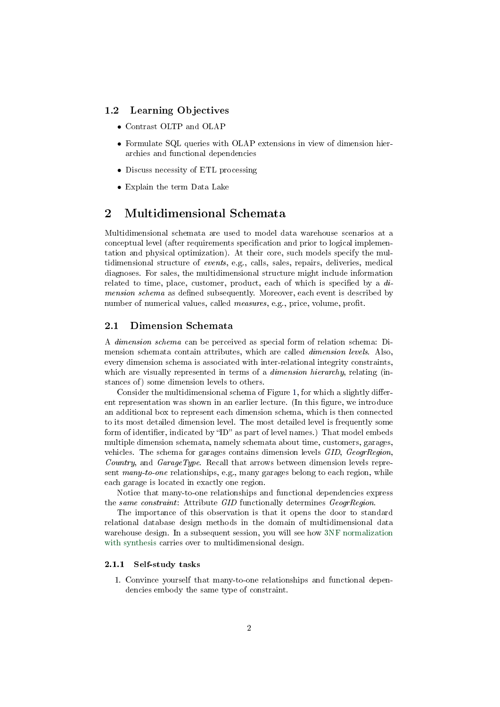### 1.2 Learning Objectives

- Contrast OLTP and OLAP
- Formulate SQL queries with OLAP extensions in view of dimension hierarchies and functional dependencies
- Discuss necessity of ETL processing
- Explain the term Data Lake

# 2 Multidimensional Schemata

Multidimensional schemata are used to model data warehouse scenarios at a conceptual level (after requirements specification and prior to logical implementation and physical optimization). At their core, such models specify the multidimensional structure of events, e.g., calls, sales, repairs, deliveries, medical diagnoses. For sales, the multidimensional structure might include information related to time, place, customer, product, each of which is specified by a  $di$ mension schema as defined subsequently. Moreover, each event is described by number of numerical values, called *measures*, e.g., price, volume, profit.

### <span id="page-1-0"></span>2.1 Dimension Schemata

A dimension schema can be perceived as special form of relation schema: Dimension schemata contain attributes, which are called dimension levels. Also, every dimension schema is associated with inter-relational integrity constraints, which are visually represented in terms of a dimension hierarchy, relating (instances of) some dimension levels to others.

Consider the multidimensional schema of Figure [1,](#page-2-1) for which a slightly different representation was shown in an earlier lecture. (In this figure, we introduce an additional box to represent each dimension schema, which is then connected to its most detailed dimension level. The most detailed level is frequently some form of identifier, indicated by "ID" as part of level names.) That model embeds multiple dimension schemata, namely schemata about time, customers, garages, vehicles. The schema for garages contains dimension levels GID, GeogrRegion, Country, and GarageType. Recall that arrows between dimension levels represent many-to-one relationships, e.g., many garages belong to each region, while each garage is located in exactly one region.

Notice that many-to-one relationships and functional dependencies express the same constraint: Attribute GID functionally determines GeogrRegion.

The importance of this observation is that it opens the door to standard relational database design methods in the domain of multidimensional data warehouse design. In a subsequent session, you will see how [3NF normalization](https://oer.gitlab.io/misc/html/functional_dependencies.html) [with synthesis](https://oer.gitlab.io/misc/html/functional_dependencies.html) carries over to multidimensional design.

### 2.1.1 Self-study tasks

1. Convince yourself that many-to-one relationships and functional dependencies embody the same type of constraint.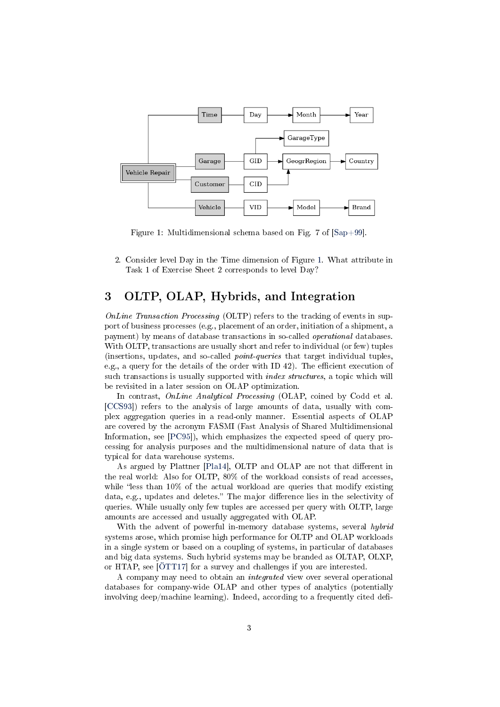

<span id="page-2-1"></span>Figure 1: Multidimensional schema based on Fig. 7 of [\[Sap+99\]](#page-7-0).

2. Consider level Day in the Time dimension of Figure [1.](#page-2-1) What attribute in Task 1 of Exercise Sheet 2 corresponds to level Day?

# <span id="page-2-0"></span>3 OLTP, OLAP, Hybrids, and Integration

OnLine Transaction Processing (OLTP) refers to the tracking of events in support of business processes (e.g., placement of an order, initiation of a shipment, a payment) by means of database transactions in so-called operational databases. With OLTP, transactions are usually short and refer to individual (or few) tuples (insertions, updates, and so-called point-queries that target individual tuples, e.g., a query for the details of the order with ID  $42$ ). The efficient execution of such transactions is usually supported with *index structures*, a topic which will be revisited in a later session on OLAP optimization.

In contrast, *OnLine Analytical Processing* (OLAP, coined by Codd et al. [\[CCS93\]](#page-6-0)) refers to the analysis of large amounts of data, usually with complex aggregation queries in a read-only manner. Essential aspects of OLAP are covered by the acronym FASMI (Fast Analysis of Shared Multidimensional Information, see [\[PC95\]](#page-6-1)), which emphasizes the expected speed of query processing for analysis purposes and the multidimensional nature of data that is typical for data warehouse systems.

As argued by Plattner [\[Pla14\]](#page-6-2), OLTP and OLAP are not that different in the real world: Also for OLTP, 80% of the workload consists of read accesses, while "less than  $10\%$  of the actual workload are queries that modify existing data, e.g., updates and deletes." The major difference lies in the selectivity of queries. While usually only few tuples are accessed per query with OLTP, large amounts are accessed and usually aggregated with OLAP.

With the advent of powerful in-memory database systems, several hybrid systems arose, which promise high performance for OLTP and OLAP workloads in a single system or based on a coupling of systems, in particular of databases and big data systems. Such hybrid systems may be branded as OLTAP, OLXP, or HTAP, see [\[ÖTT17\]](#page-6-3) for a survey and challenges if you are interested.

A company may need to obtain an integrated view over several operational databases for company-wide OLAP and other types of analytics (potentially involving deep/machine learning). Indeed, according to a frequently cited defi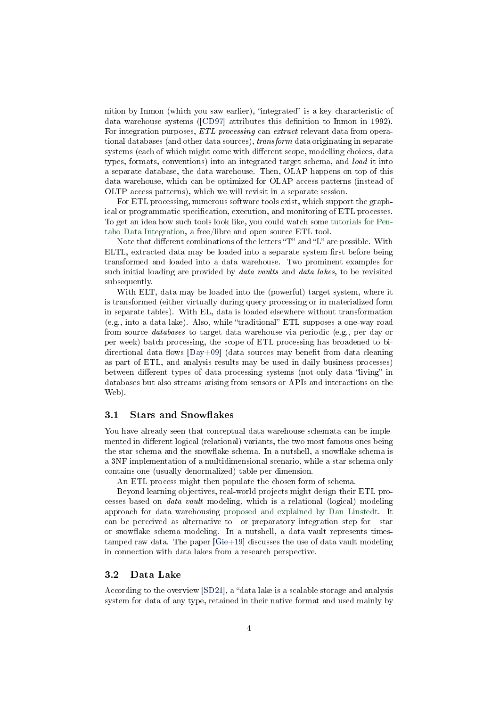nition by Inmon (which you saw earlier), "integrated" is a key characteristic of data warehouse systems ([\[CD97\]](#page-6-4) attributes this definition to Inmon in 1992). For integration purposes, ETL processing can extract relevant data from operational databases (and other data sources), transform data originating in separate systems (each of which might come with different scope, modelling choices, data types, formats, conventions) into an integrated target schema, and load it into a separate database, the data warehouse. Then, OLAP happens on top of this data warehouse, which can be optimized for OLAP access patterns (instead of OLTP access patterns), which we will revisit in a separate session.

For ETL processing, numerous software tools exist, which support the graphical or programmatic specification, execution, and monitoring of ETL processes. To get an idea how such tools look like, you could watch some [tutorials for Pen](https://www.hitachivantara.com/en-us/products/data-management-analytics/pentaho/tutorials.html)[taho Data Integration,](https://www.hitachivantara.com/en-us/products/data-management-analytics/pentaho/tutorials.html) a free/libre and open source ETL tool.

Note that different combinations of the letters "T" and "L" are possible. With ELTL, extracted data may be loaded into a separate system first before being transformed and loaded into a data warehouse. Two prominent examples for such initial loading are provided by data vaults and data lakes, to be revisited subsequently.

With ELT, data may be loaded into the (powerful) target system, where it is transformed (either virtually during query processing or in materialized form in separate tables). With EL, data is loaded elsewhere without transformation (e.g., into a data lake). Also, while "traditional" ETL supposes a one-way road from source databases to target data warehouse via periodic (e.g., per day or per week) batch processing, the scope of ETL processing has broadened to bidirectional data flows  $[Day+09]$  (data sources may benefit from data cleaning as part of ETL, and analysis results may be used in daily business processes) between different types of data processing systems (not only data "living" in databases but also streams arising from sensors or APIs and interactions on the Web).

#### <span id="page-3-0"></span>3.1 Stars and Snowflakes

You have already seen that conceptual data warehouse schemata can be implemented in different logical (relational) variants, the two most famous ones being the star schema and the snowflake schema. In a nutshell, a snowflake schema is a 3NF implementation of a multidimensional scenario, while a star schema only contains one (usually denormalized) table per dimension.

An ETL process might then populate the chosen form of schema.

Beyond learning objectives, real-world projects might design their ETL processes based on data vault modeling, which is a relational (logical) modeling approach for data warehousing [proposed and explained by Dan Linstedt.](http://danlinstedt.com/solutions-2/data-vault-basics/) It can be perceived as alternative to or preparatory integration step for  $-$ star or snowflake schema modeling. In a nutshell, a data vault represents timestamped raw data. The paper [\[Gie+19\]](#page-6-6) discusses the use of data vault modeling in connection with data lakes from a research perspective.

### <span id="page-3-1"></span>3.2 Data Lake

According to the overview  $[SD21]$ , a "data lake is a scalable storage and analysis system for data of any type, retained in their native format and used mainly by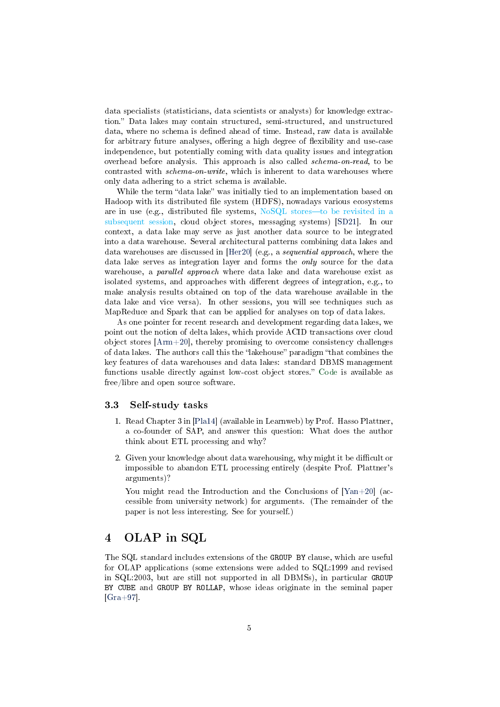data specialists (statisticians, data scientists or analysts) for knowledge extraction." Data lakes may contain structured, semi-structured, and unstructured data, where no schema is defined ahead of time. Instead, raw data is available for arbitrary future analyses, offering a high degree of flexibility and use-case independence, but potentially coming with data quality issues and integration overhead before analysis. This approach is also called schema-on-read, to be contrasted with *schema-on-write*, which is inherent to data warehouses where only data adhering to a strict schema is available.

While the term "data lake" was initially tied to an implementation based on Hadoop with its distributed file system (HDFS), nowadays various ecosystems are in use (e.g., distributed file systems,  $NoSQL$  stores—to be revisited in a [subsequent session,](#page-0-0) cloud object stores, messaging systems) [\[SD21\]](#page-7-1). In our context, a data lake may serve as just another data source to be integrated into a data warehouse. Several architectural patterns combining data lakes and data warehouses are discussed in [\[Her20\]](#page-6-7) (e.g., a sequential approach, where the data lake serves as integration layer and forms the only source for the data warehouse, a parallel approach where data lake and data warehouse exist as isolated systems, and approaches with different degrees of integration, e.g., to make analysis results obtained on top of the data warehouse available in the data lake and vice versa). In other sessions, you will see techniques such as MapReduce and Spark that can be applied for analyses on top of data lakes.

As one pointer for recent research and development regarding data lakes, we point out the notion of delta lakes, which provide ACID transactions over cloud object stores [\[Arm+20\]](#page-6-8), thereby promising to overcome consistency challenges of data lakes. The authors call this the "lakehouse" paradigm "that combines the key features of data warehouses and data lakes: standard DBMS management functions usable directly against low-cost object stores." [Code](https://delta.io/) is available as free/libre and open source software.

#### 3.3 Self-study tasks

- 1. Read Chapter 3 in [\[Pla14\]](#page-6-2) (available in Learnweb) by Prof. Hasso Plattner, a co-founder of SAP, and answer this question: What does the author think about ETL processing and why?
- 2. Given your knowledge about data warehousing, why might it be difficult or impossible to abandon ETL processing entirely (despite Prof. Plattner's arguments)?

You might read the Introduction and the Conclusions of [\[Yan+20\]](#page-7-2) (accessible from university network) for arguments. (The remainder of the paper is not less interesting. See for yourself.)

# <span id="page-4-0"></span>4 OLAP in SQL

The SQL standard includes extensions of the GROUP BY clause, which are useful for OLAP applications (some extensions were added to SQL:1999 and revised in SQL:2003, but are still not supported in all DBMSs), in particular GROUP BY CUBE and GROUP BY ROLLAP, whose ideas originate in the seminal paper  $[Gra+97]$ .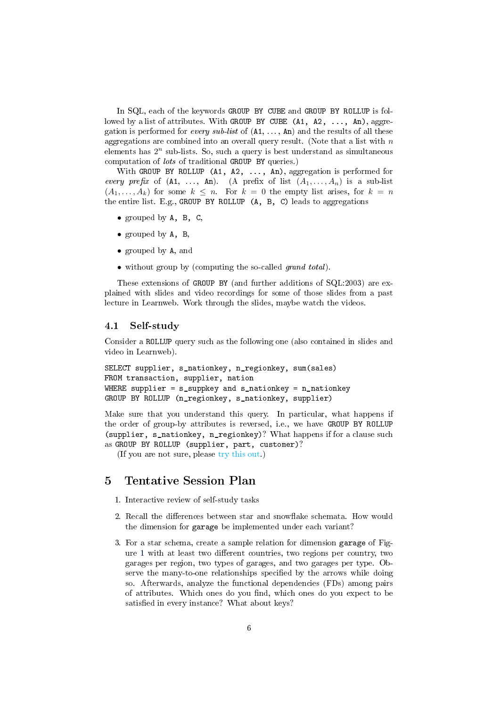In SQL, each of the keywords GROUP BY CUBE and GROUP BY ROLLUP is followed by a list of attributes. With GROUP BY CUBE  $(A1, A2, \ldots, An)$ , aggregation is performed for *every sub-list* of  $(A1, \ldots, An)$  and the results of all these aggregations are combined into an overall query result. (Note that a list with  $n$ elements has  $2^n$  sub-lists. So, such a query is best understand as simultaneous computation of lots of traditional GROUP BY queries.)

With GROUP BY ROLLUP (A1, A2, ..., An), aggregation is performed for every prefix of  $(A1, \ldots, An)$ .  $(A \text{ prefix of } (A_1, \ldots, A_n)$  is a sub-list  $(A_1, \ldots, A_k)$  for some  $k \leq n$ . For  $k = 0$  the empty list arises, for  $k = n$ the entire list. E.g., GROUP BY ROLLUP (A, B, C) leads to aggregations

- grouped by A, B, C,
- grouped by A, B,
- grouped by A, and
- without group by (computing the so-called grand total).

These extensions of GROUP BY (and further additions of SQL:2003) are explained with slides and video recordings for some of those slides from a past lecture in Learnweb. Work through the slides, maybe watch the videos.

### 4.1 Self-study

Consider a ROLLUP query such as the following one (also contained in slides and video in Learnweb).

```
SELECT supplier, s_nationkey, n_regionkey, sum(sales)
FROM transaction, supplier, nation
WHERE supplier = s_suppkey and s_nationkey = n_nationkey
GROUP BY ROLLUP (n_regionkey, s_nationkey, supplier)
```
Make sure that you understand this query. In particular, what happens if the order of group-by attributes is reversed, i.e., we have GROUP BY ROLLUP (supplier, s\_nationkey, n\_regionkey)? What happens if for a clause such as GROUP BY ROLLUP (supplier, part, customer)?

(If you are not sure, please [try this out.](#page-0-0))

## 5 Tentative Session Plan

- 1. Interactive review of self-study tasks
- 2. Recall the differences between star and snowflake schemata. How would the dimension for garage be implemented under each variant?
- 3. For a star schema, create a sample relation for dimension garage of Fig-ure [1](#page-2-1) with at least two different countries, two regions per country, two garages per region, two types of garages, and two garages per type. Observe the many-to-one relationships specified by the arrows while doing so. Afterwards, analyze the functional dependencies (FDs) among pairs of attributes. Which ones do you find, which ones do you expect to be satisfied in every instance? What about keys?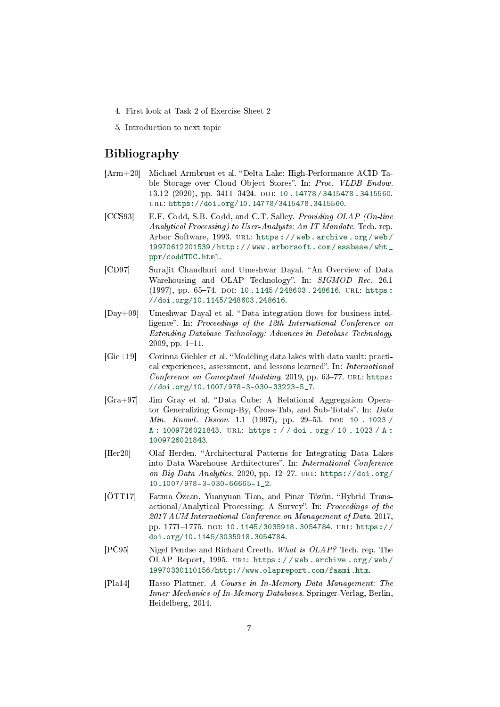- 4. First look at Task 2 of Exercise Sheet 2
- 5. Introduction to next topic

# Bibliography

- <span id="page-6-8"></span>[Arm+20] Michael Armbrust et al. "Delta Lake: High-Performance ACID Table Storage over Cloud Object Stores". In: Proc. VLDB Endow. 13.12 (2020), pp. 3411-3424. DOI: 10.14778 / 3415478.3415560. url: [https://doi.org/10.14778/3415478.3415560.](https://doi.org/10.14778/3415478.3415560)
- <span id="page-6-0"></span>[CCS93] E.F. Codd, S.B. Codd, and C.T. Salley. Providing OLAP (On-line Analytical Processing) to User-Analysts: An IT Mandate. Tech. rep. Arbor Software, 1993. url: [https : / / web . archive . org / web /](https://web.archive.org/web/19970612201539/http://www.arborsoft.com/essbase/wht_ppr/coddTOC.html) [19970612201539 / http : / / www . arborsoft . com / essbase / wht \\_](https://web.archive.org/web/19970612201539/http://www.arborsoft.com/essbase/wht_ppr/coddTOC.html) [ppr/coddTOC.html.](https://web.archive.org/web/19970612201539/http://www.arborsoft.com/essbase/wht_ppr/coddTOC.html)
- <span id="page-6-4"></span>[CD97] Surajit Chaudhuri and Umeshwar Dayal. "An Overview of Data Warehousing and OLAP Technology". In: SIGMOD Rec. 26.1  $(1997)$ , pp. 65-74. DOI: 10. 1145 / 248603. 248616. URL: https: [//doi.org/10.1145/248603.248616.](https://doi.org/10.1145/248603.248616)
- <span id="page-6-5"></span> $[Day+09]$  Umeshwar Dayal et al. "Data integration flows for business intelligence". In: Proceedings of the 12th International Conference on Extending Database Technology: Advances in Database Technology. 2009, pp.  $1-11$ .
- <span id="page-6-6"></span>[Gie+19] Corinna Giebler et al. Modeling data lakes with data vault: practical experiences, assessment, and lessons learned". In: *International* Conference on Conceptual Modeling. 2019, pp.  $63-77$ . URL: [https:](https://doi.org/10.1007/978-3-030-33223-5_7) [//doi.org/10.1007/978-3-030-33223-5\\_7.](https://doi.org/10.1007/978-3-030-33223-5_7)
- <span id="page-6-9"></span> $[Gra+97]$  Jim Gray et al. "Data Cube: A Relational Aggregation Operator Generalizing Group-By, Cross-Tab, and Sub-Totals". In: Data Min. Knowl. Discov. 1.1 (1997), pp. 29-53. DOI: [10 . 1023 /](https://doi.org/10.1023/A:1009726021843) [A : 1009726021843.](https://doi.org/10.1023/A:1009726021843) url: [https : / / doi . org / 10 . 1023 / A :](https://doi.org/10.1023/A:1009726021843) [1009726021843.](https://doi.org/10.1023/A:1009726021843)
- <span id="page-6-7"></span>[Her20] Olaf Herden. "Architectural Patterns for Integrating Data Lakes into Data Warehouse Architectures". In: International Conference on Big Data Analytics. 2020, pp. 12-27. URL: [https://doi.org/](https://doi.org/10.1007/978-3-030-66665-1_2) [10.1007/978-3-030-66665-1\\_2.](https://doi.org/10.1007/978-3-030-66665-1_2)
- <span id="page-6-3"></span>[ÖTT17] Fatma Özcan, Yuanyuan Tian, and Pinar Tözün. "Hybrid Transactional/Analytical Processing: A Survey". In: Proceedings of the 2017 ACM International Conference on Management of Data. 2017, pp. 1771-1775. DOI: [10.1145/3035918.3054784.](https://doi.org/10.1145/3035918.3054784) URL: [https://](https://doi.org/10.1145/3035918.3054784) [doi.org/10.1145/3035918.3054784.](https://doi.org/10.1145/3035918.3054784)
- <span id="page-6-1"></span>[PC95] Nigel Pendse and Richard Creeth. What is OLAP? Tech. rep. The OLAP Report, 1995. URL: https://web.archive.org/web/ [19970330110156/http://www.olapreport.com/fasmi.htm.](https://web.archive.org/web/19970330110156/http://www.olapreport.com/fasmi.htm)
- <span id="page-6-2"></span>[Pla14] Hasso Plattner. A Course in In-Memory Data Management: The Inner Mechanics of In-Memory Databases. Springer-Verlag, Berlin, Heidelberg, 2014.